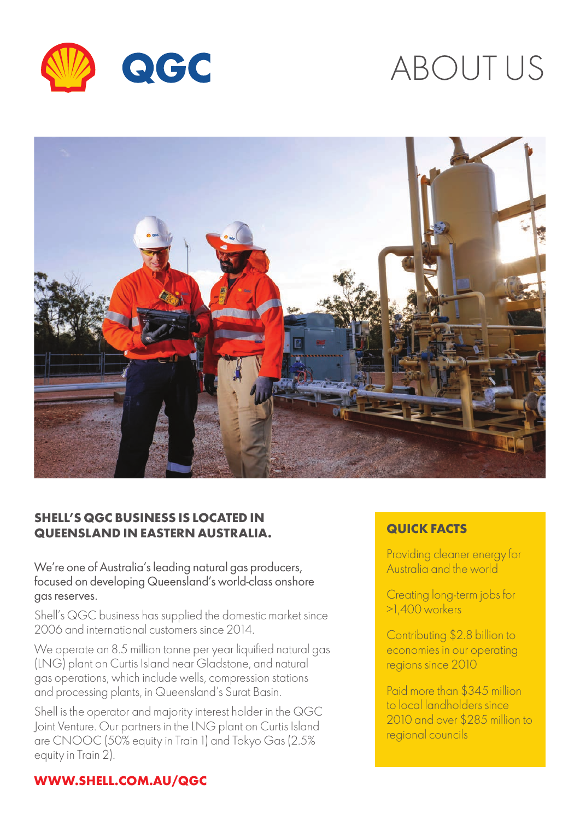

# ABOUT US



### **SHELL'S QGC BUSINESS IS LOCATED IN QUEENSLAND IN EASTERN AUSTRALIA.**

We're one of Australia's leading natural gas producers, focused on developing Queensland's world-class onshore gas reserves.

Shell's QGC business has supplied the domestic market since 2006 and international customers since 2014.

We operate an 8.5 million tonne per year liquified natural gas (LNG) plant on Curtis Island near Gladstone, and natural gas operations, which include wells, compression stations and processing plants, in Queensland's Surat Basin.

Shell is the operator and majority interest holder in the QGC Joint Venture. Our partners in the LNG plant on Curtis Island are CNOOC (50% equity in Train 1) and Tokyo Gas (2.5% equity in Train 2).

## **QUICK FACTS**

Providing cleaner energy for Australia and the world

Creating long-term jobs for >1,400 workers

Contributing \$2.8 billion to economies in our operating regions since 2010

Paid more than \$345 million to local landholders since 2010 and over \$285 million to regional councils

## **WWW.SHELL.COM.AU/QGC**